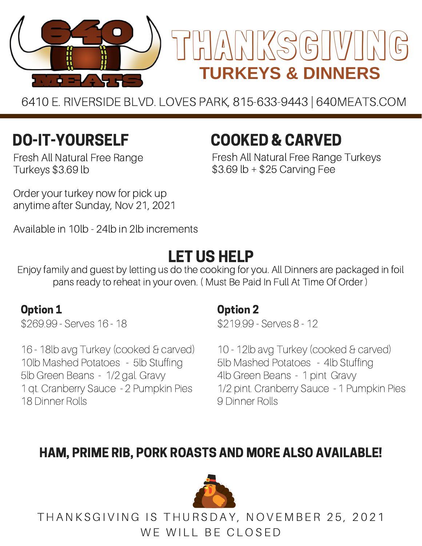

6410 E. RIVERSIDE BLVD. LOVES PARK, 815-633-9443 | 640MEATS.COM

# DO-IT-YOURSELF

Fresh All Natural Free Range Turkeys \$3.69 lb

Order your turkey now for pick up anytime after Sunday, Nov 21, 2021

Available in 10lb - 24lb in 2lb increments

# LET US HELP

Enjoy family and guest by letting us do the cooking for you. All Dinners are packaged in foil pans ready to reheat in your oven. ( Must Be Paid In Full At Time Of Order )

### Option 1

\$269.99 - Serves 16 - 18

16 - 18lb avg Turkey (cooked & carved) 10lb Mashed Potatoes - 5lb Stuffing 5lb Green Beans - 1/2 gal. Gravy 1 qt. Cranberry Sauce - 2 Pumpkin Pies 18 Dinner Rolls

### Option 2

\$219.99 - Serves 8 - 12

COOKED & CARVED

\$3.69 lb + \$25 Carving Fee

Fresh All Natural Free Range Turkeys

10 - 12lb avg Turkey (cooked & carved) 5lb Mashed Potatoes - 4lb Stuffing 4lb Green Beans - 1 pint Gravy 1/2 pint. Cranberry Sauce - 1 Pumpkin Pies 9 Dinner Rolls

## HAM, PRIME RIB, PORK ROASTS AND MORE ALSO AVAILABLE!



THANKSGIVING IS THURSDAY, NOVEMBER 25, 2021 WE WILL BE CLOSED